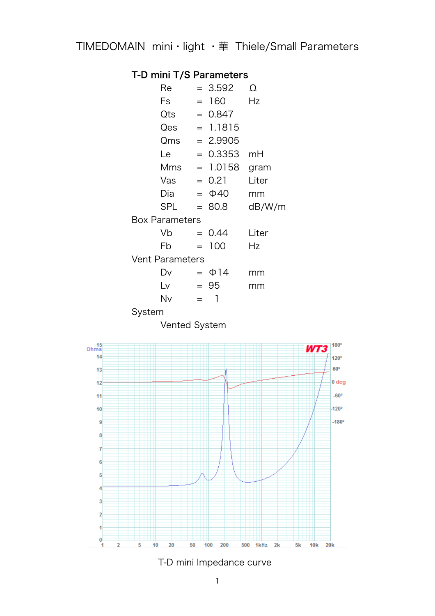## T-D mini T/S Parameters

|                        | Re         |     | $= 3.592$      | Ω      |  |
|------------------------|------------|-----|----------------|--------|--|
|                        | Fs         |     | $= 160$        | Hz     |  |
|                        | Qts        |     | $= 0.847$      |        |  |
|                        | Qes        |     | $= 1.1815$     |        |  |
|                        | Qms        |     | $= 2.9905$     |        |  |
|                        | Le         |     | $= 0.3353$     | mH     |  |
|                        |            |     | $Mms = 1.0158$ | gram   |  |
|                        | Vas        |     | $= 0.21$       | Liter  |  |
|                        | Dia        |     | $= \Phi 40$    | mm     |  |
|                        | <b>SPL</b> |     | $= 80.8$       | dB/W/m |  |
| <b>Box Parameters</b>  |            |     |                |        |  |
|                        | Vb         |     | $= 0.44$       | Liter  |  |
|                        | Fb         |     | $= 100$        | Hz     |  |
| <b>Vent Parameters</b> |            |     |                |        |  |
|                        | Dv         |     | $= \Phi$ 14    | mm     |  |
|                        | Lv         |     | $= 95$         | mm     |  |
|                        | Nv         | $=$ | 1              |        |  |
|                        |            |     |                |        |  |

System

Vented System



T-D mini Impedance curve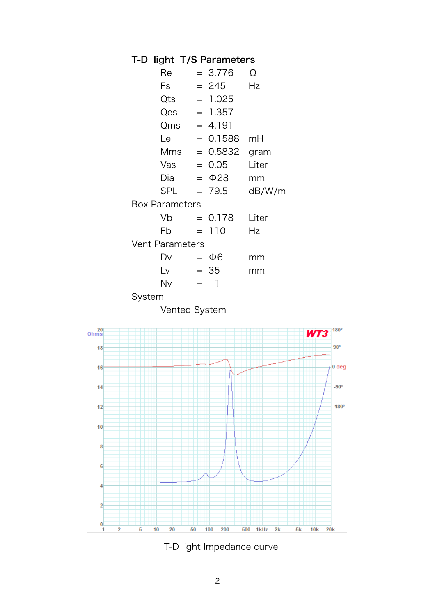## T-D light T/S Parameters

|        | Re                     |     | $= 3.776$    | Ω      |
|--------|------------------------|-----|--------------|--------|
|        | Fs                     |     | $= 245$      | Hz     |
|        | Qts                    |     | $= 1.025$    |        |
|        | Qes                    |     | $= 1.357$    |        |
|        | Qms                    |     | $= 4.191$    |        |
|        | Le                     |     | $= 0.1588$   | mH     |
|        | <b>Mms</b>             |     | $= 0.5832$   | gram   |
|        | Vas                    |     | $= 0.05$     | Liter  |
|        | Dia                    |     | $= \Phi$ 28  | mm     |
|        | SPL                    |     | $= 79.5$     | dB/W/m |
|        | <b>Box Parameters</b>  |     |              |        |
|        | Vb                     |     | $= 0.178$    | Liter  |
|        | Fb                     |     | $= 110$      | Hz     |
|        | <b>Vent Parameters</b> |     |              |        |
|        | Dv                     |     | $=$ $\Phi$ 6 | mm     |
|        | Lv                     |     | $= 35$       | mm     |
|        | Nv                     | $=$ | $\mathbf{I}$ |        |
| System |                        |     |              |        |
|        |                        |     |              |        |

Vented System



T-D light Impedance curve